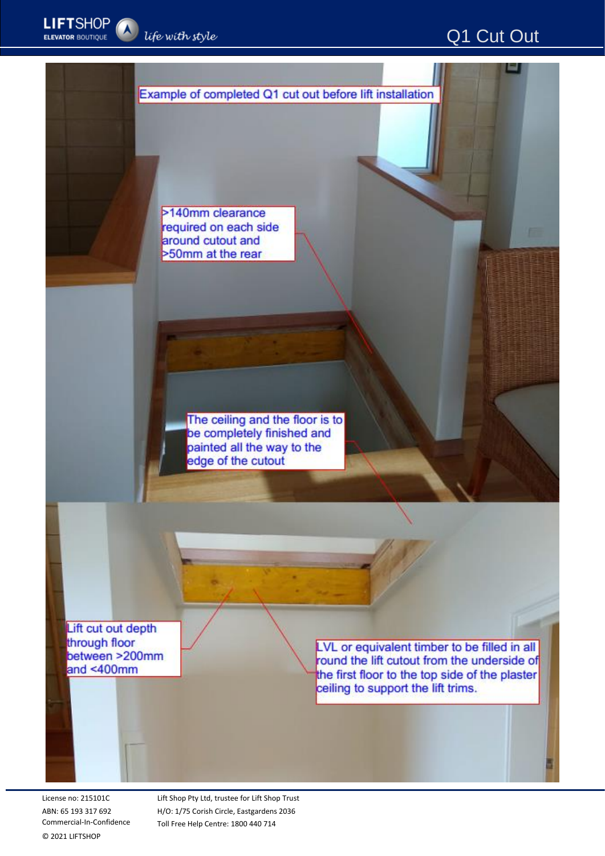-



>140mm clearance required on each side around cutout and >50mm at the rear

> The ceiling and the floor is to be completely finished and painted all the way to the edge of the cutout

Lift cut out depth through floor between >200mm and  $<$ 400mm

LVL or equivalent timber to be filled in all round the lift cutout from the underside of the first floor to the top side of the plaster ceiling to support the lift trims.

License no: 215101C ABN: 65 193 317 692 Commercial-In-Confidence © 2021 LIFTSHOP

Lift Shop Pty Ltd, trustee for Lift Shop Trust H/O: 1/75 Corish Circle, Eastgardens 2036 Toll Free Help Centre: 1800 440 714